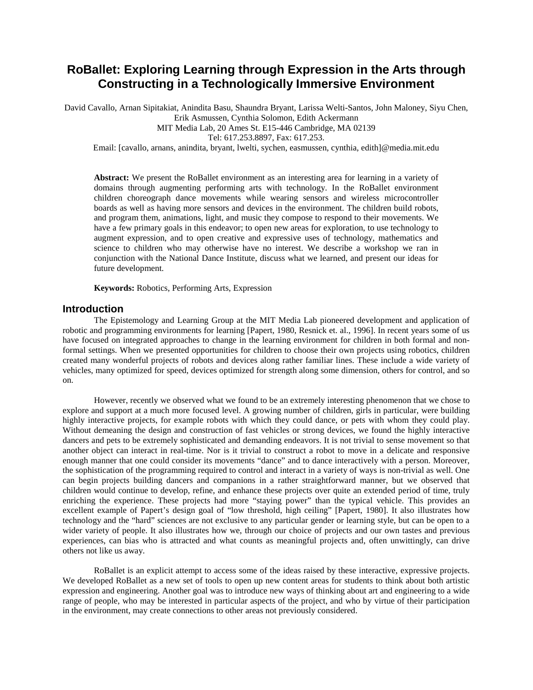# **RoBallet: Exploring Learning through Expression in the Arts through Constructing in a Technologically Immersive Environment**

David Cavallo, Arnan Sipitakiat, Anindita Basu, Shaundra Bryant, Larissa Welti-Santos, John Maloney, Siyu Chen, Erik Asmussen, Cynthia Solomon, Edith Ackermann MIT Media Lab, 20 Ames St. E15-446 Cambridge, MA 02139

Tel: 617.253.8897, Fax: 617.253.

Email: [cavallo, arnans, anindita, bryant, lwelti, sychen, easmussen, cynthia, edith]@media.mit.edu

**Abstract:** We present the RoBallet environment as an interesting area for learning in a variety of domains through augmenting performing arts with technology. In the RoBallet environment children choreograph dance movements while wearing sensors and wireless microcontroller boards as well as having more sensors and devices in the environment. The children build robots, and program them, animations, light, and music they compose to respond to their movements. We have a few primary goals in this endeavor; to open new areas for exploration, to use technology to augment expression, and to open creative and expressive uses of technology, mathematics and science to children who may otherwise have no interest. We describe a workshop we ran in conjunction with the National Dance Institute, discuss what we learned, and present our ideas for future development.

**Keywords:** Robotics, Performing Arts, Expression

# **Introduction**

The Epistemology and Learning Group at the MIT Media Lab pioneered development and application of robotic and programming environments for learning [Papert, 1980, Resnick et. al., 1996]. In recent years some of us have focused on integrated approaches to change in the learning environment for children in both formal and nonformal settings. When we presented opportunities for children to choose their own projects using robotics, children created many wonderful projects of robots and devices along rather familiar lines. These include a wide variety of vehicles, many optimized for speed, devices optimized for strength along some dimension, others for control, and so on.

However, recently we observed what we found to be an extremely interesting phenomenon that we chose to explore and support at a much more focused level. A growing number of children, girls in particular, were building highly interactive projects, for example robots with which they could dance, or pets with whom they could play. Without demeaning the design and construction of fast vehicles or strong devices, we found the highly interactive dancers and pets to be extremely sophisticated and demanding endeavors. It is not trivial to sense movement so that another object can interact in real-time. Nor is it trivial to construct a robot to move in a delicate and responsive enough manner that one could consider its movements "dance" and to dance interactively with a person. Moreover, the sophistication of the programming required to control and interact in a variety of ways is non-trivial as well. One can begin projects building dancers and companions in a rather straightforward manner, but we observed that children would continue to develop, refine, and enhance these projects over quite an extended period of time, truly enriching the experience. These projects had more "staying power" than the typical vehicle. This provides an excellent example of Papert's design goal of "low threshold, high ceiling" [Papert, 1980]. It also illustrates how technology and the "hard" sciences are not exclusive to any particular gender or learning style, but can be open to a wider variety of people. It also illustrates how we, through our choice of projects and our own tastes and previous experiences, can bias who is attracted and what counts as meaningful projects and, often unwittingly, can drive others not like us away.

RoBallet is an explicit attempt to access some of the ideas raised by these interactive, expressive projects. We developed RoBallet as a new set of tools to open up new content areas for students to think about both artistic expression and engineering. Another goal was to introduce new ways of thinking about art and engineering to a wide range of people, who may be interested in particular aspects of the project, and who by virtue of their participation in the environment, may create connections to other areas not previously considered.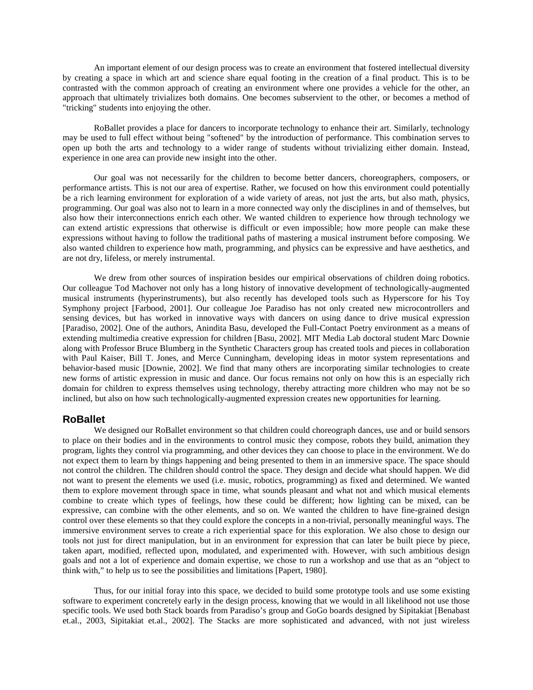An important element of our design process was to create an environment that fostered intellectual diversity by creating a space in which art and science share equal footing in the creation of a final product. This is to be contrasted with the common approach of creating an environment where one provides a vehicle for the other, an approach that ultimately trivializes both domains. One becomes subservient to the other, or becomes a method of "tricking" students into enjoying the other.

RoBallet provides a place for dancers to incorporate technology to enhance their art. Similarly, technology may be used to full effect without being "softened" by the introduction of performance. This combination serves to open up both the arts and technology to a wider range of students without trivializing either domain. Instead, experience in one area can provide new insight into the other.

Our goal was not necessarily for the children to become better dancers, choreographers, composers, or performance artists. This is not our area of expertise. Rather, we focused on how this environment could potentially be a rich learning environment for exploration of a wide variety of areas, not just the arts, but also math, physics, programming. Our goal was also not to learn in a more connected way only the disciplines in and of themselves, but also how their interconnections enrich each other. We wanted children to experience how through technology we can extend artistic expressions that otherwise is difficult or even impossible; how more people can make these expressions without having to follow the traditional paths of mastering a musical instrument before composing. We also wanted children to experience how math, programming, and physics can be expressive and have aesthetics, and are not dry, lifeless, or merely instrumental.

We drew from other sources of inspiration besides our empirical observations of children doing robotics. Our colleague Tod Machover not only has a long history of innovative development of technologically-augmented musical instruments (hyperinstruments), but also recently has developed tools such as Hyperscore for his Toy Symphony project [Farbood, 2001]. Our colleague Joe Paradiso has not only created new microcontrollers and sensing devices, but has worked in innovative ways with dancers on using dance to drive musical expression [Paradiso, 2002]. One of the authors, Anindita Basu, developed the Full-Contact Poetry environment as a means of extending multimedia creative expression for children [Basu, 2002]. MIT Media Lab doctoral student Marc Downie along with Professor Bruce Blumberg in the Synthetic Characters group has created tools and pieces in collaboration with Paul Kaiser, Bill T. Jones, and Merce Cunningham, developing ideas in motor system representations and behavior-based music [Downie, 2002]. We find that many others are incorporating similar technologies to create new forms of artistic expression in music and dance. Our focus remains not only on how this is an especially rich domain for children to express themselves using technology, thereby attracting more children who may not be so inclined, but also on how such technologically-augmented expression creates new opportunities for learning.

#### **RoBallet**

We designed our RoBallet environment so that children could choreograph dances, use and or build sensors to place on their bodies and in the environments to control music they compose, robots they build, animation they program, lights they control via programming, and other devices they can choose to place in the environment. We do not expect them to learn by things happening and being presented to them in an immersive space. The space should not control the children. The children should control the space. They design and decide what should happen. We did not want to present the elements we used (i.e. music, robotics, programming) as fixed and determined. We wanted them to explore movement through space in time, what sounds pleasant and what not and which musical elements combine to create which types of feelings, how these could be different; how lighting can be mixed, can be expressive, can combine with the other elements, and so on. We wanted the children to have fine-grained design control over these elements so that they could explore the concepts in a non-trivial, personally meaningful ways. The immersive environment serves to create a rich experiential space for this exploration. We also chose to design our tools not just for direct manipulation, but in an environment for expression that can later be built piece by piece, taken apart, modified, reflected upon, modulated, and experimented with. However, with such ambitious design goals and not a lot of experience and domain expertise, we chose to run a workshop and use that as an "object to think with," to help us to see the possibilities and limitations [Papert, 1980].

Thus, for our initial foray into this space, we decided to build some prototype tools and use some existing software to experiment concretely early in the design process, knowing that we would in all likelihood not use those specific tools. We used both Stack boards from Paradiso's group and GoGo boards designed by Sipitakiat [Benabast et.al., 2003, Sipitakiat et.al., 2002]. The Stacks are more sophisticated and advanced, with not just wireless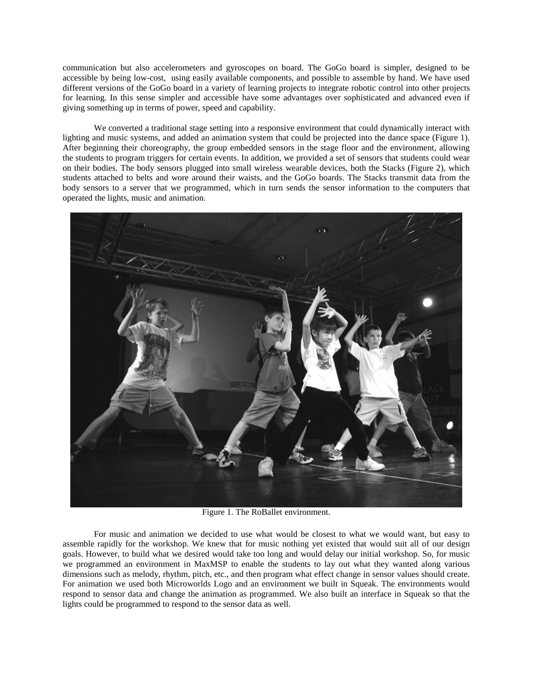communication but also accelerometers and gyroscopes on board. The GoGo board is simpler, designed to be accessible by being low-cost, using easily available components, and possible to assemble by hand. We have used different versions of the GoGo board in a variety of learning projects to integrate robotic control into other projects for learning. In this sense simpler and accessible have some advantages over sophisticated and advanced even if giving something up in terms of power, speed and capability.

We converted a traditional stage setting into a responsive environment that could dynamically interact with lighting and music systems, and added an animation system that could be projected into the dance space (Figure 1). After beginning their choreography, the group embedded sensors in the stage floor and the environment, allowing the students to program triggers for certain events. In addition, we provided a set of sensors that students could wear on their bodies. The body sensors plugged into small wireless wearable devices, both the Stacks (Figure 2), which students attached to belts and wore around their waists, and the GoGo boards. The Stacks transmit data from the body sensors to a server that we programmed, which in turn sends the sensor information to the computers that operated the lights, music and animation.



Figure 1. The RoBallet environment.

For music and animation we decided to use what would be closest to what we would want, but easy to assemble rapidly for the workshop. We knew that for music nothing yet existed that would suit all of our design goals. However, to build what we desired would take too long and would delay our initial workshop. So, for music we programmed an environment in MaxMSP to enable the students to lay out what they wanted along various dimensions such as melody, rhythm, pitch, etc., and then program what effect change in sensor values should create. For animation we used both Microworlds Logo and an environment we built in Squeak. The environments would respond to sensor data and change the animation as programmed. We also built an interface in Squeak so that the lights could be programmed to respond to the sensor data as well.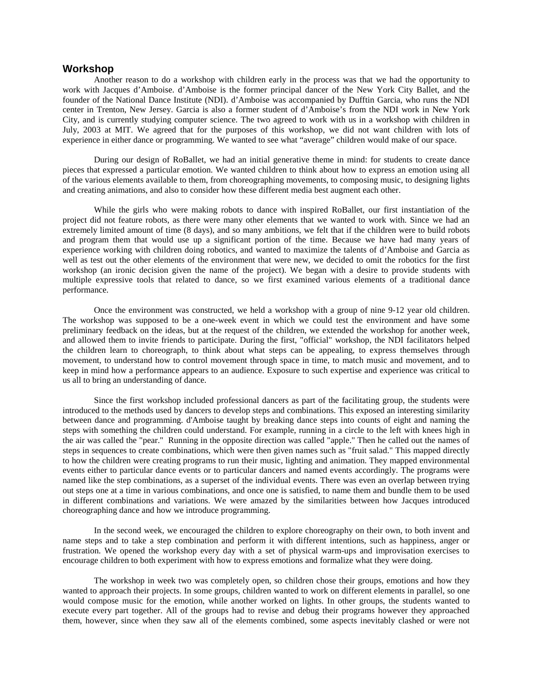## **Workshop**

Another reason to do a workshop with children early in the process was that we had the opportunity to work with Jacques d'Amboise. d'Amboise is the former principal dancer of the New York City Ballet, and the founder of the National Dance Institute (NDI). d'Amboise was accompanied by Dufftin Garcia, who runs the NDI center in Trenton, New Jersey. Garcia is also a former student of d'Amboise's from the NDI work in New York City, and is currently studying computer science. The two agreed to work with us in a workshop with children in July, 2003 at MIT. We agreed that for the purposes of this workshop, we did not want children with lots of experience in either dance or programming. We wanted to see what "average" children would make of our space.

During our design of RoBallet, we had an initial generative theme in mind: for students to create dance pieces that expressed a particular emotion. We wanted children to think about how to express an emotion using all of the various elements available to them, from choreographing movements, to composing music, to designing lights and creating animations, and also to consider how these different media best augment each other.

While the girls who were making robots to dance with inspired RoBallet, our first instantiation of the project did not feature robots, as there were many other elements that we wanted to work with. Since we had an extremely limited amount of time (8 days), and so many ambitions, we felt that if the children were to build robots and program them that would use up a significant portion of the time. Because we have had many years of experience working with children doing robotics, and wanted to maximize the talents of d'Amboise and Garcia as well as test out the other elements of the environment that were new, we decided to omit the robotics for the first workshop (an ironic decision given the name of the project). We began with a desire to provide students with multiple expressive tools that related to dance, so we first examined various elements of a traditional dance performance.

Once the environment was constructed, we held a workshop with a group of nine 9-12 year old children. The workshop was supposed to be a one-week event in which we could test the environment and have some preliminary feedback on the ideas, but at the request of the children, we extended the workshop for another week, and allowed them to invite friends to participate. During the first, "official" workshop, the NDI facilitators helped the children learn to choreograph, to think about what steps can be appealing, to express themselves through movement, to understand how to control movement through space in time, to match music and movement, and to keep in mind how a performance appears to an audience. Exposure to such expertise and experience was critical to us all to bring an understanding of dance.

Since the first workshop included professional dancers as part of the facilitating group, the students were introduced to the methods used by dancers to develop steps and combinations. This exposed an interesting similarity between dance and programming. d'Amboise taught by breaking dance steps into counts of eight and naming the steps with something the children could understand. For example, running in a circle to the left with knees high in the air was called the "pear." Running in the opposite direction was called "apple." Then he called out the names of steps in sequences to create combinations, which were then given names such as "fruit salad." This mapped directly to how the children were creating programs to run their music, lighting and animation. They mapped environmental events either to particular dance events or to particular dancers and named events accordingly. The programs were named like the step combinations, as a superset of the individual events. There was even an overlap between trying out steps one at a time in various combinations, and once one is satisfied, to name them and bundle them to be used in different combinations and variations. We were amazed by the similarities between how Jacques introduced choreographing dance and how we introduce programming.

In the second week, we encouraged the children to explore choreography on their own, to both invent and name steps and to take a step combination and perform it with different intentions, such as happiness, anger or frustration. We opened the workshop every day with a set of physical warm-ups and improvisation exercises to encourage children to both experiment with how to express emotions and formalize what they were doing.

The workshop in week two was completely open, so children chose their groups, emotions and how they wanted to approach their projects. In some groups, children wanted to work on different elements in parallel, so one would compose music for the emotion, while another worked on lights. In other groups, the students wanted to execute every part together. All of the groups had to revise and debug their programs however they approached them, however, since when they saw all of the elements combined, some aspects inevitably clashed or were not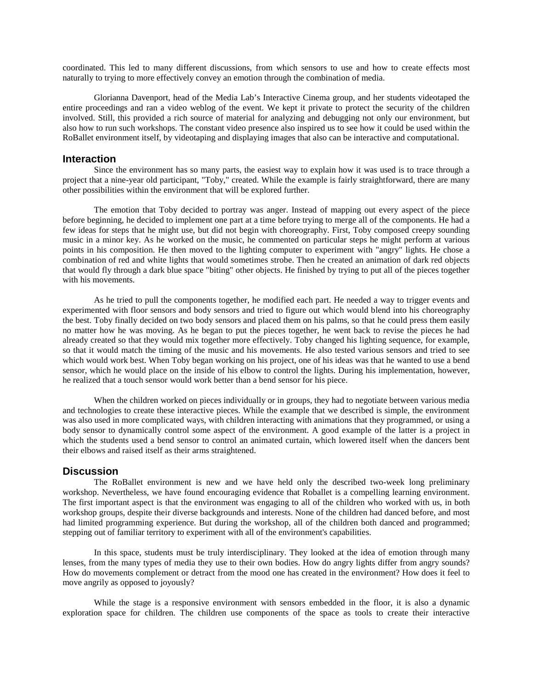coordinated. This led to many different discussions, from which sensors to use and how to create effects most naturally to trying to more effectively convey an emotion through the combination of media.

Glorianna Davenport, head of the Media Lab's Interactive Cinema group, and her students videotaped the entire proceedings and ran a video weblog of the event. We kept it private to protect the security of the children involved. Still, this provided a rich source of material for analyzing and debugging not only our environment, but also how to run such workshops. The constant video presence also inspired us to see how it could be used within the RoBallet environment itself, by videotaping and displaying images that also can be interactive and computational.

#### **Interaction**

Since the environment has so many parts, the easiest way to explain how it was used is to trace through a project that a nine-year old participant, "Toby," created. While the example is fairly straightforward, there are many other possibilities within the environment that will be explored further.

The emotion that Toby decided to portray was anger. Instead of mapping out every aspect of the piece before beginning, he decided to implement one part at a time before trying to merge all of the components. He had a few ideas for steps that he might use, but did not begin with choreography. First, Toby composed creepy sounding music in a minor key. As he worked on the music, he commented on particular steps he might perform at various points in his composition. He then moved to the lighting computer to experiment with "angry" lights. He chose a combination of red and white lights that would sometimes strobe. Then he created an animation of dark red objects that would fly through a dark blue space "biting" other objects. He finished by trying to put all of the pieces together with his movements.

As he tried to pull the components together, he modified each part. He needed a way to trigger events and experimented with floor sensors and body sensors and tried to figure out which would blend into his choreography the best. Toby finally decided on two body sensors and placed them on his palms, so that he could press them easily no matter how he was moving. As he began to put the pieces together, he went back to revise the pieces he had already created so that they would mix together more effectively. Toby changed his lighting sequence, for example, so that it would match the timing of the music and his movements. He also tested various sensors and tried to see which would work best. When Toby began working on his project, one of his ideas was that he wanted to use a bend sensor, which he would place on the inside of his elbow to control the lights. During his implementation, however, he realized that a touch sensor would work better than a bend sensor for his piece.

When the children worked on pieces individually or in groups, they had to negotiate between various media and technologies to create these interactive pieces. While the example that we described is simple, the environment was also used in more complicated ways, with children interacting with animations that they programmed, or using a body sensor to dynamically control some aspect of the environment. A good example of the latter is a project in which the students used a bend sensor to control an animated curtain, which lowered itself when the dancers bent their elbows and raised itself as their arms straightened.

# **Discussion**

The RoBallet environment is new and we have held only the described two-week long preliminary workshop. Nevertheless, we have found encouraging evidence that Roballet is a compelling learning environment. The first important aspect is that the environment was engaging to all of the children who worked with us, in both workshop groups, despite their diverse backgrounds and interests. None of the children had danced before, and most had limited programming experience. But during the workshop, all of the children both danced and programmed; stepping out of familiar territory to experiment with all of the environment's capabilities.

In this space, students must be truly interdisciplinary. They looked at the idea of emotion through many lenses, from the many types of media they use to their own bodies. How do angry lights differ from angry sounds? How do movements complement or detract from the mood one has created in the environment? How does it feel to move angrily as opposed to joyously?

While the stage is a responsive environment with sensors embedded in the floor, it is also a dynamic exploration space for children. The children use components of the space as tools to create their interactive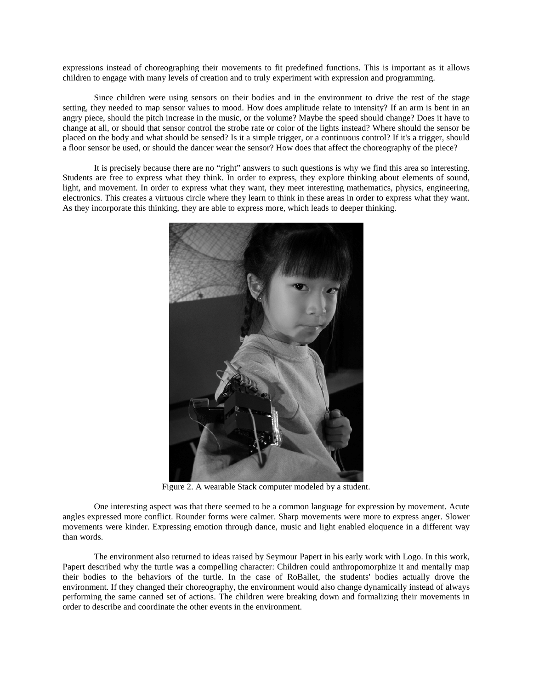expressions instead of choreographing their movements to fit predefined functions. This is important as it allows children to engage with many levels of creation and to truly experiment with expression and programming.

Since children were using sensors on their bodies and in the environment to drive the rest of the stage setting, they needed to map sensor values to mood. How does amplitude relate to intensity? If an arm is bent in an angry piece, should the pitch increase in the music, or the volume? Maybe the speed should change? Does it have to change at all, or should that sensor control the strobe rate or color of the lights instead? Where should the sensor be placed on the body and what should be sensed? Is it a simple trigger, or a continuous control? If it's a trigger, should a floor sensor be used, or should the dancer wear the sensor? How does that affect the choreography of the piece?

It is precisely because there are no "right" answers to such questions is why we find this area so interesting. Students are free to express what they think. In order to express, they explore thinking about elements of sound, light, and movement. In order to express what they want, they meet interesting mathematics, physics, engineering, electronics. This creates a virtuous circle where they learn to think in these areas in order to express what they want. As they incorporate this thinking, they are able to express more, which leads to deeper thinking.



Figure 2. A wearable Stack computer modeled by a student.

One interesting aspect was that there seemed to be a common language for expression by movement. Acute angles expressed more conflict. Rounder forms were calmer. Sharp movements were more to express anger. Slower movements were kinder. Expressing emotion through dance, music and light enabled eloquence in a different way than words.

The environment also returned to ideas raised by Seymour Papert in his early work with Logo. In this work, Papert described why the turtle was a compelling character: Children could anthropomorphize it and mentally map their bodies to the behaviors of the turtle. In the case of RoBallet, the students' bodies actually drove the environment. If they changed their choreography, the environment would also change dynamically instead of always performing the same canned set of actions. The children were breaking down and formalizing their movements in order to describe and coordinate the other events in the environment.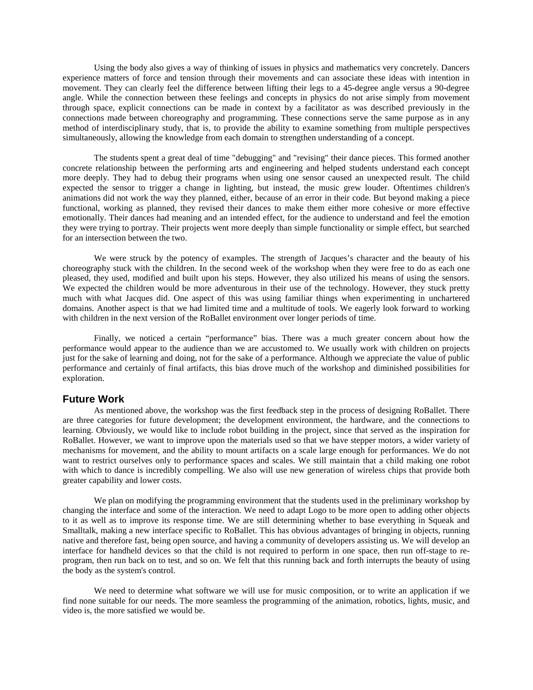Using the body also gives a way of thinking of issues in physics and mathematics very concretely. Dancers experience matters of force and tension through their movements and can associate these ideas with intention in movement. They can clearly feel the difference between lifting their legs to a 45-degree angle versus a 90-degree angle. While the connection between these feelings and concepts in physics do not arise simply from movement through space, explicit connections can be made in context by a facilitator as was described previously in the connections made between choreography and programming. These connections serve the same purpose as in any method of interdisciplinary study, that is, to provide the ability to examine something from multiple perspectives simultaneously, allowing the knowledge from each domain to strengthen understanding of a concept.

The students spent a great deal of time "debugging" and "revising" their dance pieces. This formed another concrete relationship between the performing arts and engineering and helped students understand each concept more deeply. They had to debug their programs when using one sensor caused an unexpected result. The child expected the sensor to trigger a change in lighting, but instead, the music grew louder. Oftentimes children's animations did not work the way they planned, either, because of an error in their code. But beyond making a piece functional, working as planned, they revised their dances to make them either more cohesive or more effective emotionally. Their dances had meaning and an intended effect, for the audience to understand and feel the emotion they were trying to portray. Their projects went more deeply than simple functionality or simple effect, but searched for an intersection between the two.

We were struck by the potency of examples. The strength of Jacques's character and the beauty of his choreography stuck with the children. In the second week of the workshop when they were free to do as each one pleased, they used, modified and built upon his steps. However, they also utilized his means of using the sensors. We expected the children would be more adventurous in their use of the technology. However, they stuck pretty much with what Jacques did. One aspect of this was using familiar things when experimenting in unchartered domains. Another aspect is that we had limited time and a multitude of tools. We eagerly look forward to working with children in the next version of the RoBallet environment over longer periods of time.

Finally, we noticed a certain "performance" bias. There was a much greater concern about how the performance would appear to the audience than we are accustomed to. We usually work with children on projects just for the sake of learning and doing, not for the sake of a performance. Although we appreciate the value of public performance and certainly of final artifacts, this bias drove much of the workshop and diminished possibilities for exploration.

## **Future Work**

As mentioned above, the workshop was the first feedback step in the process of designing RoBallet. There are three categories for future development; the development environment, the hardware, and the connections to learning. Obviously, we would like to include robot building in the project, since that served as the inspiration for RoBallet. However, we want to improve upon the materials used so that we have stepper motors, a wider variety of mechanisms for movement, and the ability to mount artifacts on a scale large enough for performances. We do not want to restrict ourselves only to performance spaces and scales. We still maintain that a child making one robot with which to dance is incredibly compelling. We also will use new generation of wireless chips that provide both greater capability and lower costs.

We plan on modifying the programming environment that the students used in the preliminary workshop by changing the interface and some of the interaction. We need to adapt Logo to be more open to adding other objects to it as well as to improve its response time. We are still determining whether to base everything in Squeak and Smalltalk, making a new interface specific to RoBallet. This has obvious advantages of bringing in objects, running native and therefore fast, being open source, and having a community of developers assisting us. We will develop an interface for handheld devices so that the child is not required to perform in one space, then run off-stage to reprogram, then run back on to test, and so on. We felt that this running back and forth interrupts the beauty of using the body as the system's control.

We need to determine what software we will use for music composition, or to write an application if we find none suitable for our needs. The more seamless the programming of the animation, robotics, lights, music, and video is, the more satisfied we would be.